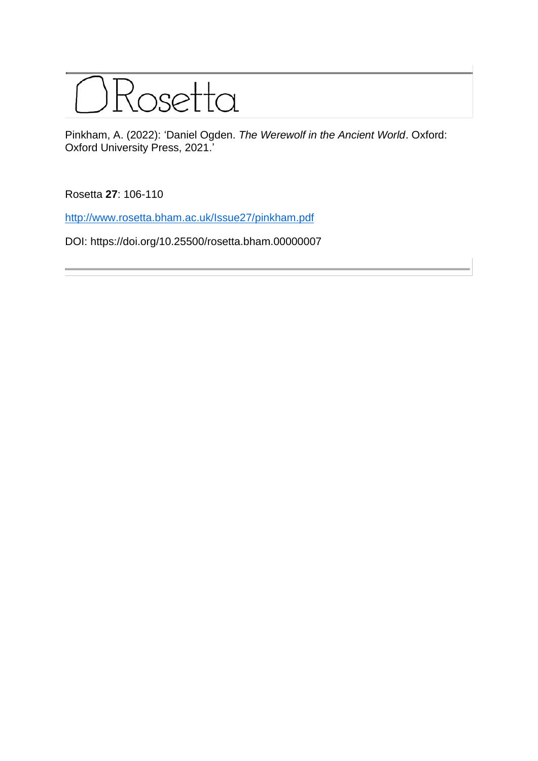

Pinkham, A. (2022): 'Daniel Ogden. *The Werewolf in the Ancient World*. Oxford: Oxford University Press, 2021.'

Rosetta **27**: 106-110

[http://www.rosetta.bham.ac.uk/Issue27/pinkham.pdf](http://www.rosetta.bham.ac.uk/Issue27/reeves.pdf)

DOI: https://doi.org/10.25500/rosetta.bham.00000007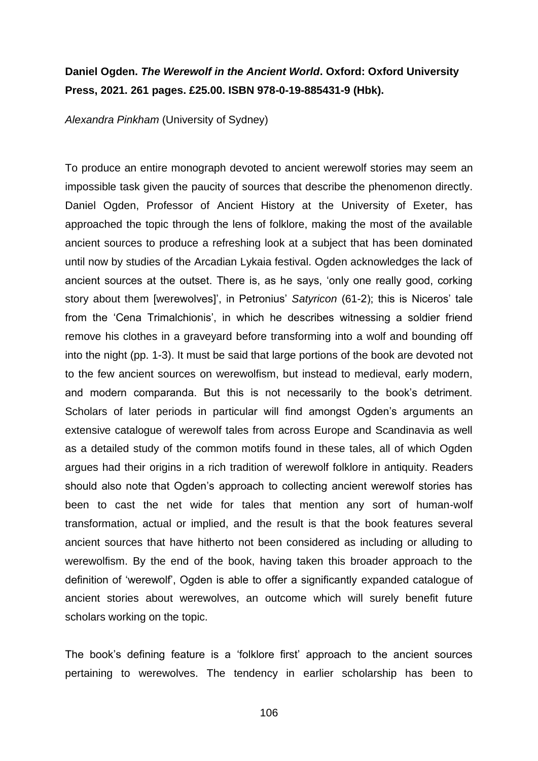## **Daniel Ogden.** *The Werewolf in the Ancient World***. Oxford: Oxford University Press, 2021. 261 pages. £25.00. ISBN 978-0-19-885431-9 (Hbk).**

*Alexandra Pinkham* (University of Sydney)

To produce an entire monograph devoted to ancient werewolf stories may seem an impossible task given the paucity of sources that describe the phenomenon directly. Daniel Ogden, Professor of Ancient History at the University of Exeter, has approached the topic through the lens of folklore, making the most of the available ancient sources to produce a refreshing look at a subject that has been dominated until now by studies of the Arcadian Lykaia festival. Ogden acknowledges the lack of ancient sources at the outset. There is, as he says, 'only one really good, corking story about them [werewolves]', in Petronius' *Satyricon* (61-2); this is Niceros' tale from the 'Cena Trimalchionis', in which he describes witnessing a soldier friend remove his clothes in a graveyard before transforming into a wolf and bounding off into the night (pp. 1-3). It must be said that large portions of the book are devoted not to the few ancient sources on werewolfism, but instead to medieval, early modern, and modern comparanda. But this is not necessarily to the book's detriment. Scholars of later periods in particular will find amongst Ogden's arguments an extensive catalogue of werewolf tales from across Europe and Scandinavia as well as a detailed study of the common motifs found in these tales, all of which Ogden argues had their origins in a rich tradition of werewolf folklore in antiquity. Readers should also note that Ogden's approach to collecting ancient werewolf stories has been to cast the net wide for tales that mention any sort of human-wolf transformation, actual or implied, and the result is that the book features several ancient sources that have hitherto not been considered as including or alluding to werewolfism. By the end of the book, having taken this broader approach to the definition of 'werewolf', Ogden is able to offer a significantly expanded catalogue of ancient stories about werewolves, an outcome which will surely benefit future scholars working on the topic.

The book's defining feature is a 'folklore first' approach to the ancient sources pertaining to werewolves. The tendency in earlier scholarship has been to

106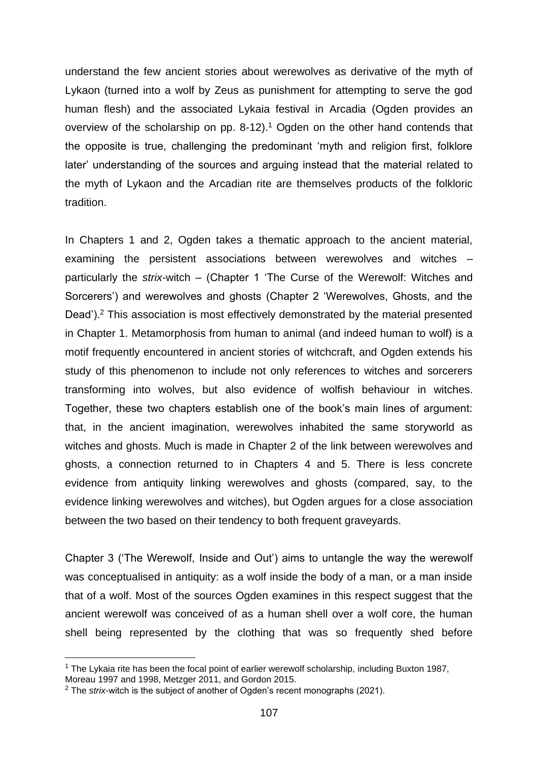understand the few ancient stories about werewolves as derivative of the myth of Lykaon (turned into a wolf by Zeus as punishment for attempting to serve the god human flesh) and the associated Lykaia festival in Arcadia (Ogden provides an overview of the scholarship on pp. 8-12).<sup>1</sup> Ogden on the other hand contends that the opposite is true, challenging the predominant 'myth and religion first, folklore later' understanding of the sources and arguing instead that the material related to the myth of Lykaon and the Arcadian rite are themselves products of the folkloric tradition.

In Chapters 1 and 2, Ogden takes a thematic approach to the ancient material, examining the persistent associations between werewolves and witches – particularly the *strix*-witch – (Chapter 1 'The Curse of the Werewolf: Witches and Sorcerers') and werewolves and ghosts (Chapter 2 'Werewolves, Ghosts, and the Dead').<sup>2</sup> This association is most effectively demonstrated by the material presented in Chapter 1. Metamorphosis from human to animal (and indeed human to wolf) is a motif frequently encountered in ancient stories of witchcraft, and Ogden extends his study of this phenomenon to include not only references to witches and sorcerers transforming into wolves, but also evidence of wolfish behaviour in witches. Together, these two chapters establish one of the book's main lines of argument: that, in the ancient imagination, werewolves inhabited the same storyworld as witches and ghosts. Much is made in Chapter 2 of the link between werewolves and ghosts, a connection returned to in Chapters 4 and 5. There is less concrete evidence from antiquity linking werewolves and ghosts (compared, say, to the evidence linking werewolves and witches), but Ogden argues for a close association between the two based on their tendency to both frequent graveyards.

Chapter 3 ('The Werewolf, Inside and Out') aims to untangle the way the werewolf was conceptualised in antiquity: as a wolf inside the body of a man, or a man inside that of a wolf. Most of the sources Ogden examines in this respect suggest that the ancient werewolf was conceived of as a human shell over a wolf core, the human shell being represented by the clothing that was so frequently shed before

 $1$  The Lykaia rite has been the focal point of earlier werewolf scholarship, including Buxton 1987,

Moreau 1997 and 1998, Metzger 2011, and Gordon 2015.

<sup>&</sup>lt;sup>2</sup> The *strix*-witch is the subject of another of Ogden's recent monographs (2021).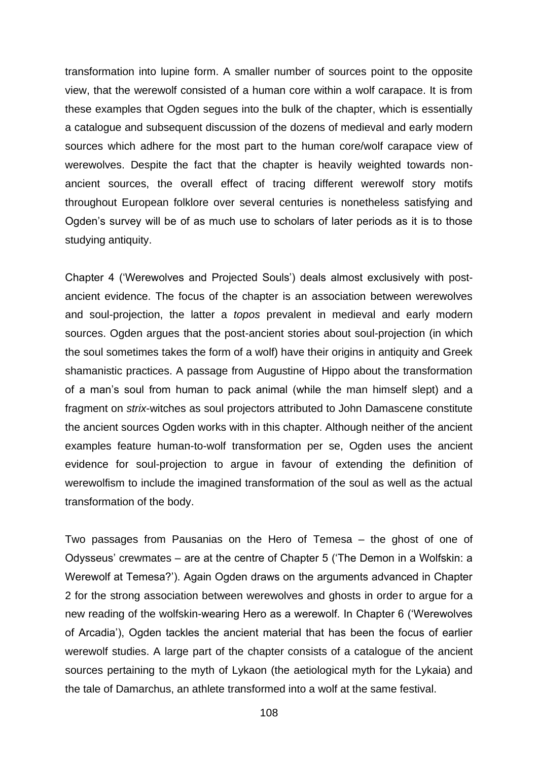transformation into lupine form. A smaller number of sources point to the opposite view, that the werewolf consisted of a human core within a wolf carapace. It is from these examples that Ogden segues into the bulk of the chapter, which is essentially a catalogue and subsequent discussion of the dozens of medieval and early modern sources which adhere for the most part to the human core/wolf carapace view of werewolves. Despite the fact that the chapter is heavily weighted towards nonancient sources, the overall effect of tracing different werewolf story motifs throughout European folklore over several centuries is nonetheless satisfying and Ogden's survey will be of as much use to scholars of later periods as it is to those studying antiquity.

Chapter 4 ('Werewolves and Projected Souls') deals almost exclusively with postancient evidence. The focus of the chapter is an association between werewolves and soul-projection, the latter a *topos* prevalent in medieval and early modern sources. Ogden argues that the post-ancient stories about soul-projection (in which the soul sometimes takes the form of a wolf) have their origins in antiquity and Greek shamanistic practices. A passage from Augustine of Hippo about the transformation of a man's soul from human to pack animal (while the man himself slept) and a fragment on *strix*-witches as soul projectors attributed to John Damascene constitute the ancient sources Ogden works with in this chapter. Although neither of the ancient examples feature human-to-wolf transformation per se, Ogden uses the ancient evidence for soul-projection to argue in favour of extending the definition of werewolfism to include the imagined transformation of the soul as well as the actual transformation of the body.

Two passages from Pausanias on the Hero of Temesa – the ghost of one of Odysseus' crewmates – are at the centre of Chapter 5 ('The Demon in a Wolfskin: a Werewolf at Temesa?'). Again Ogden draws on the arguments advanced in Chapter 2 for the strong association between werewolves and ghosts in order to argue for a new reading of the wolfskin-wearing Hero as a werewolf. In Chapter 6 ('Werewolves of Arcadia'), Ogden tackles the ancient material that has been the focus of earlier werewolf studies. A large part of the chapter consists of a catalogue of the ancient sources pertaining to the myth of Lykaon (the aetiological myth for the Lykaia) and the tale of Damarchus, an athlete transformed into a wolf at the same festival.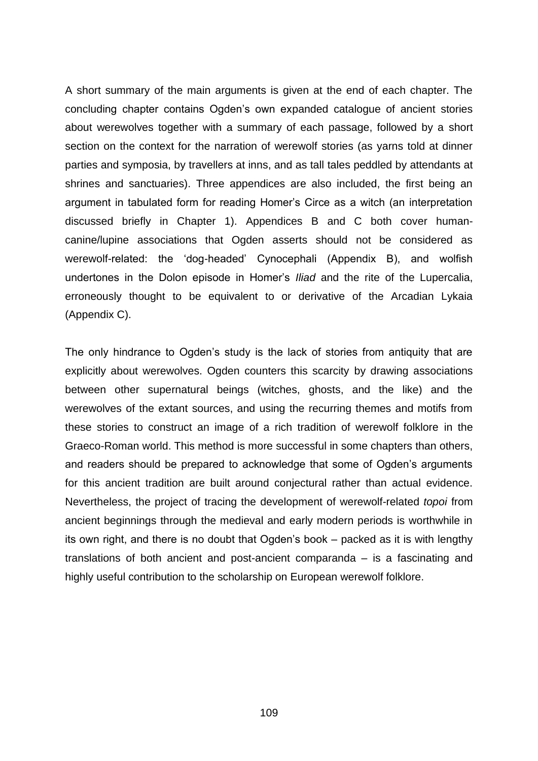A short summary of the main arguments is given at the end of each chapter. The concluding chapter contains Ogden's own expanded catalogue of ancient stories about werewolves together with a summary of each passage, followed by a short section on the context for the narration of werewolf stories (as yarns told at dinner parties and symposia, by travellers at inns, and as tall tales peddled by attendants at shrines and sanctuaries). Three appendices are also included, the first being an argument in tabulated form for reading Homer's Circe as a witch (an interpretation discussed briefly in Chapter 1). Appendices B and C both cover humancanine/lupine associations that Ogden asserts should not be considered as werewolf-related: the 'dog-headed' Cynocephali (Appendix B), and wolfish undertones in the Dolon episode in Homer's *Iliad* and the rite of the Lupercalia, erroneously thought to be equivalent to or derivative of the Arcadian Lykaia (Appendix C).

The only hindrance to Ogden's study is the lack of stories from antiquity that are explicitly about werewolves. Ogden counters this scarcity by drawing associations between other supernatural beings (witches, ghosts, and the like) and the werewolves of the extant sources, and using the recurring themes and motifs from these stories to construct an image of a rich tradition of werewolf folklore in the Graeco-Roman world. This method is more successful in some chapters than others, and readers should be prepared to acknowledge that some of Ogden's arguments for this ancient tradition are built around conjectural rather than actual evidence. Nevertheless, the project of tracing the development of werewolf-related *topoi* from ancient beginnings through the medieval and early modern periods is worthwhile in its own right, and there is no doubt that Ogden's book – packed as it is with lengthy translations of both ancient and post-ancient comparanda – is a fascinating and highly useful contribution to the scholarship on European werewolf folklore.

109